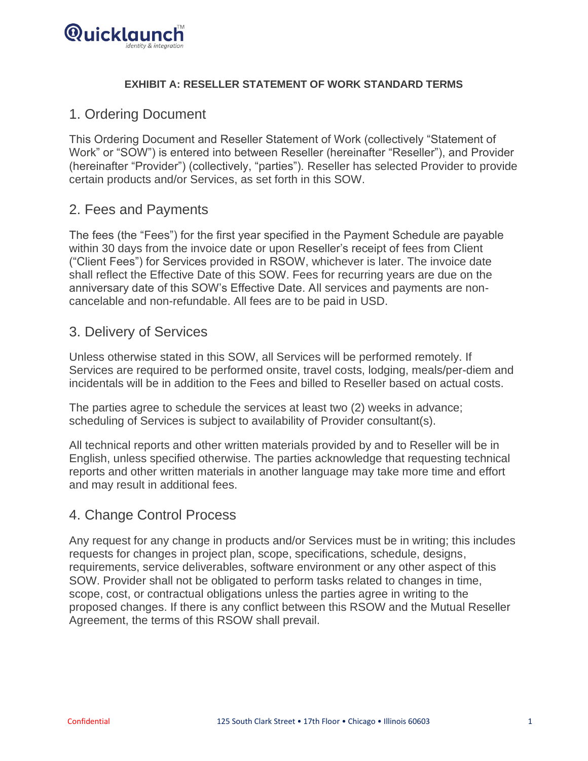

#### **EXHIBIT A: RESELLER STATEMENT OF WORK STANDARD TERMS**

## 1. Ordering Document

This Ordering Document and Reseller Statement of Work (collectively "Statement of Work" or "SOW") is entered into between Reseller (hereinafter "Reseller"), and Provider (hereinafter "Provider") (collectively, "parties"). Reseller has selected Provider to provide certain products and/or Services, as set forth in this SOW.

### 2. Fees and Payments

The fees (the "Fees") for the first year specified in the Payment Schedule are payable within 30 days from the invoice date or upon Reseller's receipt of fees from Client ("Client Fees") for Services provided in RSOW, whichever is later. The invoice date shall reflect the Effective Date of this SOW. Fees for recurring years are due on the anniversary date of this SOW's Effective Date. All services and payments are noncancelable and non-refundable. All fees are to be paid in USD.

#### 3. Delivery of Services

Unless otherwise stated in this SOW, all Services will be performed remotely. If Services are required to be performed onsite, travel costs, lodging, meals/per-diem and incidentals will be in addition to the Fees and billed to Reseller based on actual costs.

The parties agree to schedule the services at least two (2) weeks in advance; scheduling of Services is subject to availability of Provider consultant(s).

All technical reports and other written materials provided by and to Reseller will be in English, unless specified otherwise. The parties acknowledge that requesting technical reports and other written materials in another language may take more time and effort and may result in additional fees.

## 4. Change Control Process

Any request for any change in products and/or Services must be in writing; this includes requests for changes in project plan, scope, specifications, schedule, designs, requirements, service deliverables, software environment or any other aspect of this SOW. Provider shall not be obligated to perform tasks related to changes in time, scope, cost, or contractual obligations unless the parties agree in writing to the proposed changes. If there is any conflict between this RSOW and the Mutual Reseller Agreement, the terms of this RSOW shall prevail.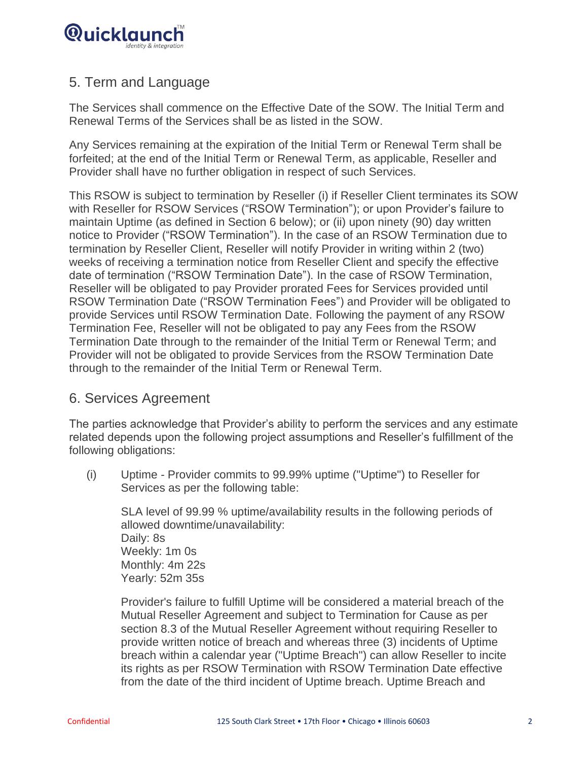

# 5. Term and Language

The Services shall commence on the Effective Date of the SOW. The Initial Term and Renewal Terms of the Services shall be as listed in the SOW.

Any Services remaining at the expiration of the Initial Term or Renewal Term shall be forfeited; at the end of the Initial Term or Renewal Term, as applicable, Reseller and Provider shall have no further obligation in respect of such Services.

This RSOW is subject to termination by Reseller (i) if Reseller Client terminates its SOW with Reseller for RSOW Services ("RSOW Termination"); or upon Provider's failure to maintain Uptime (as defined in Section 6 below); or (ii) upon ninety (90) day written notice to Provider ("RSOW Termination"). In the case of an RSOW Termination due to termination by Reseller Client, Reseller will notify Provider in writing within 2 (two) weeks of receiving a termination notice from Reseller Client and specify the effective date of termination ("RSOW Termination Date"). In the case of RSOW Termination, Reseller will be obligated to pay Provider prorated Fees for Services provided until RSOW Termination Date ("RSOW Termination Fees") and Provider will be obligated to provide Services until RSOW Termination Date. Following the payment of any RSOW Termination Fee, Reseller will not be obligated to pay any Fees from the RSOW Termination Date through to the remainder of the Initial Term or Renewal Term; and Provider will not be obligated to provide Services from the RSOW Termination Date through to the remainder of the Initial Term or Renewal Term.

## 6. Services Agreement

The parties acknowledge that Provider's ability to perform the services and any estimate related depends upon the following project assumptions and Reseller's fulfillment of the following obligations:

(i) Uptime - Provider commits to 99.99% uptime ("Uptime") to Reseller for Services as per the following table:

SLA level of 99.99 % uptime/availability results in the following periods of allowed downtime/unavailability: Daily: 8s Weekly: 1m 0s Monthly: 4m 22s Yearly: 52m 35s

Provider's failure to fulfill Uptime will be considered a material breach of the Mutual Reseller Agreement and subject to Termination for Cause as per section 8.3 of the Mutual Reseller Agreement without requiring Reseller to provide written notice of breach and whereas three (3) incidents of Uptime breach within a calendar year ("Uptime Breach") can allow Reseller to incite its rights as per RSOW Termination with RSOW Termination Date effective from the date of the third incident of Uptime breach. Uptime Breach and